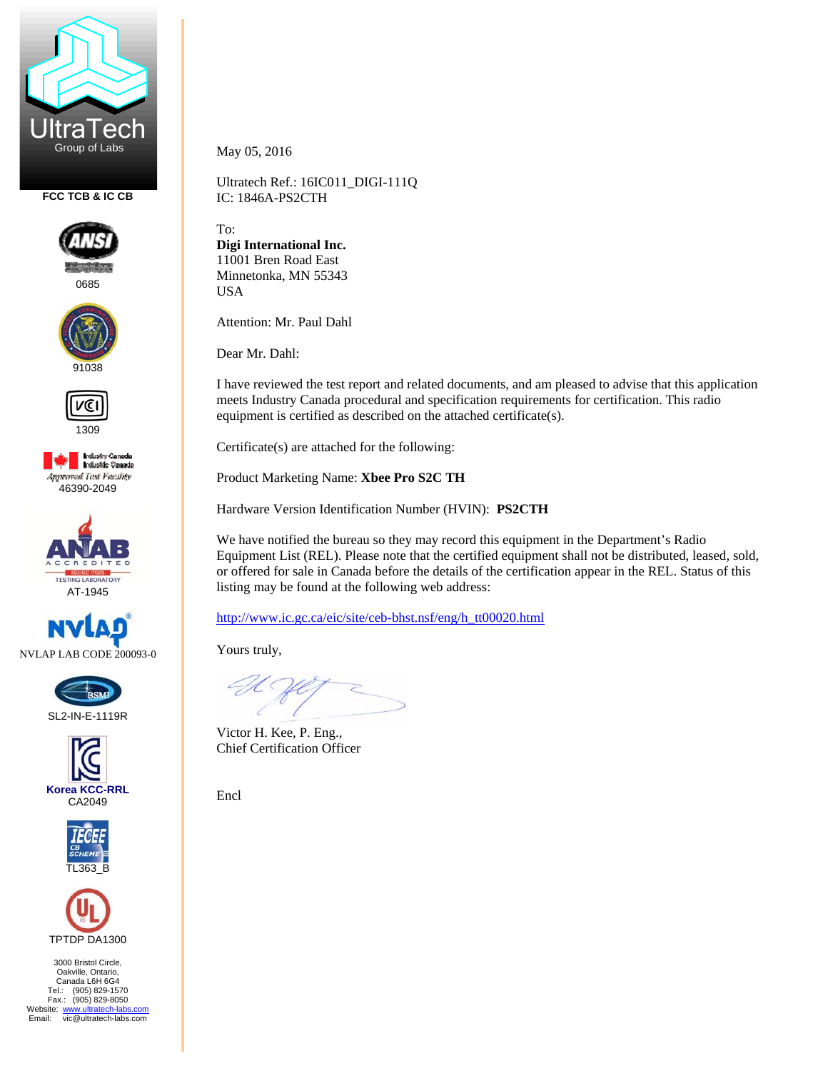

**FCC TCB & IC CB** 



0685





1309







SL2-IN-E-1119R







3000 Bristol Circle, Oakville, Ontario, Canada L6H 6G4 Tel.: (905) 829-1570 Fax.: (905) 829-8050 Website: www.ultratech-labs.com<br>Email: vic@ultratech-labs.com May 05, 2016

Ultratech Ref.: 16IC011\_DIGI-111Q IC: 1846A-PS2CTH

To: **Digi International Inc.**  11001 Bren Road East Minnetonka, MN 55343 USA

Attention: Mr. Paul Dahl

Dear Mr. Dahl:

I have reviewed the test report and related documents, and am pleased to advise that this application meets Industry Canada procedural and specification requirements for certification. This radio equipment is certified as described on the attached certificate(s).

Certificate(s) are attached for the following:

Product Marketing Name: **Xbee Pro S2C TH** 

Hardware Version Identification Number (HVIN): **PS2CTH** 

We have notified the bureau so they may record this equipment in the Department's Radio Equipment List (REL). Please note that the certified equipment shall not be distributed, leased, sold, or offered for sale in Canada before the details of the certification appear in the REL. Status of this listing may be found at the following web address:

http://www.ic.gc.ca/eic/site/ceb-bhst.nsf/eng/h\_tt00020.html

Yours truly,

Victor H. Kee, P. Eng., Chief Certification Officer

Encl